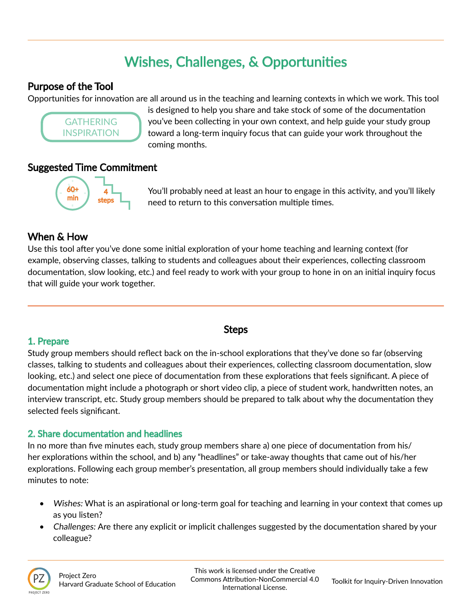# Wishes, Challenges, & Opportunities

### Purpose of the Tool

Opportunities for innovation are all around us in the teaching and learning contexts in which we work. This tool



is designed to help you share and take stock of some of the documentation you've been collecting in your own context, and help guide your study group toward a long-term inquiry focus that can guide your work throughout the coming months.

## Suggested Time Commitment



You'll probably need at least an hour to engage in this activity, and you'll likely need to return to this conversation multiple times.

# When & How

Use this tool after you've done some initial exploration of your home teaching and learning context (for example, observing classes, talking to students and colleagues about their experiences, collecting classroom documentation, slow looking, etc.) and feel ready to work with your group to hone in on an initial inquiry focus that will guide your work together.

#### 1. Prepare

#### Steps

Study group members should reflect back on the in-school explorations that they've done so far (observing classes, talking to students and colleagues about their experiences, collecting classroom documentation, slow looking, etc.) and select one piece of documentation from these explorations that feels significant. A piece of documentation might include a photograph or short video clip, a piece of student work, handwritten notes, an interview transcript, etc. Study group members should be prepared to talk about why the documentation they selected feels significant.

#### 2. Share documentation and headlines

In no more than five minutes each, study group members share a) one piece of documentation from his/ her explorations within the school, and b) any "headlines" or take-away thoughts that came out of his/her explorations. Following each group member's presentation, all group members should individually take a few minutes to note:

- Wishes: What is an aspirational or long-term goal for teaching and learning in your context that comes up as you listen?
- Challenges: Are there any explicit or implicit challenges suggested by the documentation shared by your colleague?